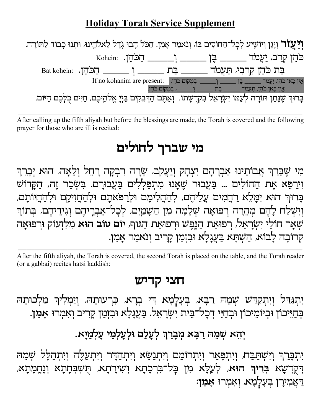## **Holiday Torah Service Supplement**

| <b>וִיַּעֲזֹר</b> וְיָגֵן וְיוֹשִׁיע לְכָל־הַחוֹסִים בּוֹ, וְנֹאמַר אָמֵן. הַכֹּל הָבוּ גְדֶל לֵאלהֵינוּ, וּתְנוּ כָבוֹד לַתּוֹרָה. |                                                                                  |                                                                               |  |  |
|-------------------------------------------------------------------------------------------------------------------------------------|----------------------------------------------------------------------------------|-------------------------------------------------------------------------------|--|--|
|                                                                                                                                     | $\;$ Kohein: הַכּהֵן. הַכּהֵן. הַכּהֵן. הַכּהֵן. הַ                              |                                                                               |  |  |
| בַּת כֹּהֵן קִרְבִי, תַעֲמֹד _______ בַּת _______ וְ _______ הַכּהֵן. Eat kohein:                                                   |                                                                                  |                                                                               |  |  |
|                                                                                                                                     | If no kohanim are present: אִין כָּאן כֹּהֵן. יַעֲמֹד בוֹבֵה בִּן עֲמֹד אֵין הַא |                                                                               |  |  |
|                                                                                                                                     |                                                                                  | אִין כָּאן כֹּהֵן. תַּעֲמֹד _______ בַּת _______ וְ________ בִּמְקוֹם כֹּהֵן. |  |  |
| בָרוּךְ שֶׁנָּתַן תּוֹרָה לְעַמּוֹ יִשְׂרָאֵל בִקְרֻשָּׁתוֹ. וְאַתֶּם הַדְּבֵקִים בַּיְיָ אֱלֹהֵיכֶם, חַיִּים כֻלְּכֶם הַיּוֹם.     |                                                                                  |                                                                               |  |  |

After calling up the fifth aliyah but before the blessings are made, the Torah is covered and the following prayer for those who are ill is recited:

## מי שברך לחולים

מִי שֶׁבֵּרַךְ אֲבוֹתֵינוּ אַבְרָהָם יִצְחָק וְיַעֲקֹב, שָׂרָה רִבְקָה רָחֵל וְלֵאָה, הוּא יְבָרֵךְ וִירַפֵּא אָת הַחוֹלִים ... בַעֲבוּר שֵׁאֲנוּ מִתְפַלִלִים בַעֲבוּרַם. בִשְבַר זֵה, הַקַּדוֹש בָרוּךְ הוּא יִמָּלֵא רַחֲמִים עֲלֵיהֶם, לְהַחֲלִימָם וּלְרַפֹּאתָם וּלְהַחֲזִיקָם וּלְהַחֲיוֹתָם, וְיִשְׁלַח לָהֶם מְהֵרָה רְפוּאָה שְׁלֵמָה מִן הַשָּׁמַיִם, לְכָל־אֵבְרֵיהֶם וְגִידֵיהֶם, בְּתוֹךְ שִׁאָר חוֹלֵי יִשְׂרָאֵל, רִפוּאַת הַנֵּפֵש וּרִפוּאַת הַגּוף, **יוֹם טוֹב הוּא** מִלְזְעוֹק וּרִפוּאָה קרובה לבוא, הַשְׁתַא בַּעֲגַלַא וּבִזְמַן קַרִיב וִנאמַר אַמֵן.

After the fifth aliyah, the Torah is covered, the second Torah is placed on the table, and the Torah reader (or a gabbai) recites hatsi kaddish:

## חצי קדיש

יִתְגַּדֵּל וְיִתְקַדִּשׁ שְׁמֵהּ רַבָּא, בְּעָלְמָא הִי בְרָא, כִּרְעוּתֵהּ, וְיַמְלִיךְ מַלְכוּתֵהּ בִּחַיֵּיכוֹן וּבִיוֹמִיכוֹן וּבְחַיֵּי דְכָל־בֵּית יִשְׂרָאֵל. בַעֲגָלָא וּבִזְמַן קָרִיב וְאמִרוּ **אָמֵן.** 

## יְהֵא שְמֵה רַבָּא מְבָרַךְ לְעָלַם וּלְעָלְמֵי עָלְמַיָּא.

יִתְבָּרַךְ וְיִשְׁתַּבַּח, וְיִתְפָּאַר וְיִתְרוֹמַם וְיִתְנַשֵּׂא וְיִתְהַדָּר וְיִתְעַלֶּה וְיִתְהַלָּל שָׁמִה דִּקְדִשָׁא בְּרִיךָ הוּא, לְעֵלָּא מִן בְל־בִּרְכָתָא וְשִׁירָתָא, תִשְׁבְּחָתָא וְנֶחֱמָתָא, דאַמירַן בִּעָלְמָא, וְאמִרוּ אָמֵן: